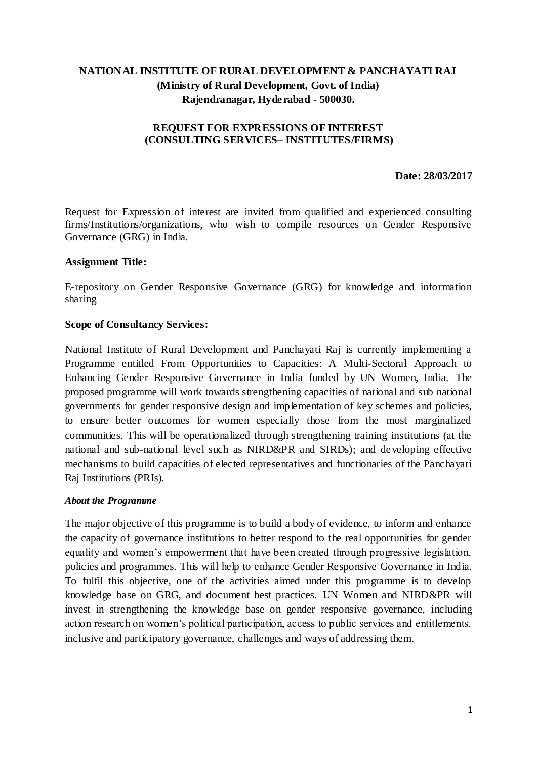# **NATIONAL INSTITUTE OF RURAL DEVELOPMENT & PANCHAYATI RAJ (Ministry of Rural Development, Govt. of India) Rajendranagar, Hyderabad - 500030.**

### **REQUEST FOR EXPRESSIONS OF INTEREST (CONSULTING SERVICES– INSTITUTES/FIRMS)**

#### **Date: 28/03/2017**

Request for Expression of interest are invited from qualified and experienced consulting firms/Institutions/organizations, who wish to compile resources on Gender Responsive Governance (GRG) in India.

#### **Assignment Title:**

E-repository on Gender Responsive Governance (GRG) for knowledge and information sharing

#### **Scope of Consultancy Services:**

National Institute of Rural Development and Panchayati Raj is currently implementing a Programme entitled From Opportunities to Capacities: A Multi-Sectoral Approach to Enhancing Gender Responsive Governance in India funded by UN Women, India. The proposed programme will work towards strengthening capacities of national and sub national governments for gender responsive design and implementation of key schemes and policies, to ensure better outcomes for women especially those from the most marginalized communities. This will be operationalized through strengthening training institutions (at the national and sub-national level such as NIRD&PR and SIRDs); and developing effective mechanisms to build capacities of elected representatives and functionaries of the Panchayati Raj Institutions (PRIs).

#### *About the Programme*

The major objective of this programme is to build a body of evidence, to inform and enhance the capacity of governance institutions to better respond to the real opportunities for gender equality and women's empowerment that have been created through progressive legislation, policies and programmes. This will help to enhance Gender Responsive Governance in India. To fulfil this objective, one of the activities aimed under this programme is to develop knowledge base on GRG, and document best practices. UN Women and NIRD&PR will invest in strengthening the knowledge base on gender responsive governance, including action research on women's political participation, access to public services and entitlements, inclusive and participatory governance, challenges and ways of addressing them.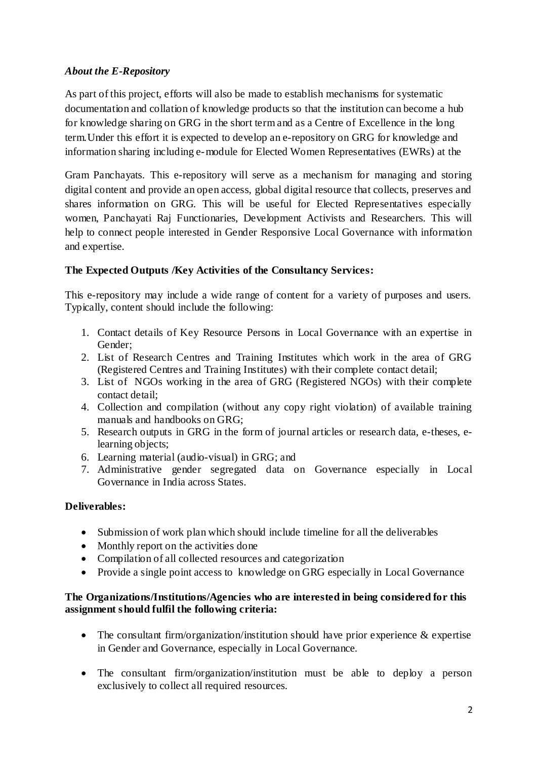## *About the E-Repository*

As part of this project, efforts will also be made to establish mechanisms for systematic documentation and collation of knowledge products so that the institution can become a hub for knowledge sharing on GRG in the short term and as a Centre of Excellence in the long term.Under this effort it is expected to develop an e-repository on GRG for knowledge and information sharing including e-module for Elected Women Representatives (EWRs) at the

Gram Panchayats. This e-repository will serve as a mechanism for managing and storing digital content and provide an open access, global digital resource that collects, preserves and shares information on GRG. This will be useful for Elected Representatives especially women, Panchayati Raj Functionaries, Development Activists and Researchers. This will help to connect people interested in Gender Responsive Local Governance with information and expertise.

## **The Expected Outputs /Key Activities of the Consultancy Services:**

This e-repository may include a wide range of content for a variety of purposes and users. Typically, content should include the following:

- 1. Contact details of Key Resource Persons in Local Governance with an expertise in Gender;
- 2. List of Research Centres and Training Institutes which work in the area of GRG (Registered Centres and Training Institutes) with their complete contact detail;
- 3. List of NGOs working in the area of GRG (Registered NGOs) with their complete contact detail;
- 4. Collection and compilation (without any copy right violation) of available training manuals and handbooks on GRG;
- 5. Research outputs in GRG in the form of journal articles or research data, e-theses, elearning objects;
- 6. Learning material (audio-visual) in GRG; and
- 7. Administrative gender segregated data on Governance especially in Local Governance in India across States.

### **Deliverables:**

- Submission of work plan which should include timeline for all the deliverables
- Monthly report on the activities done
- Compilation of all collected resources and categorization
- Provide a single point access to knowledge on GRG especially in Local Governance

### **The Organizations/Institutions/Agencies who are interested in being considered for this assignment should fulfil the following criteria:**

- The consultant firm/organization/institution should have prior experience  $\&$  expertise in Gender and Governance, especially in Local Governance.
- The consultant firm/organization/institution must be able to deploy a person exclusively to collect all required resources.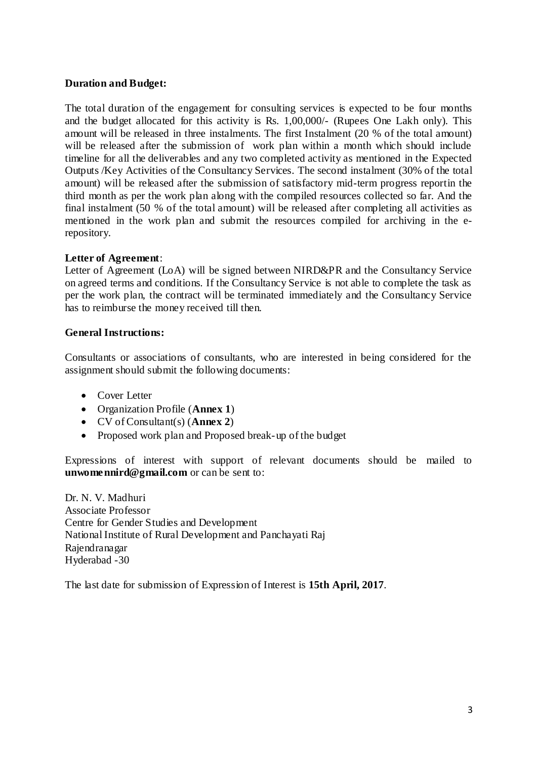### **Duration and Budget:**

The total duration of the engagement for consulting services is expected to be four months and the budget allocated for this activity is Rs. 1,00,000/- (Rupees One Lakh only). This amount will be released in three instalments. The first Instalment (20 % of the total amount) will be released after the submission of work plan within a month which should include timeline for all the deliverables and any two completed activity as mentioned in the Expected Outputs /Key Activities of the Consultancy Services. The second instalment (30% of the total amount) will be released after the submission of satisfactory mid-term progress reportin the third month as per the work plan along with the compiled resources collected so far. And the final instalment (50 % of the total amount) will be released after completing all activities as mentioned in the work plan and submit the resources compiled for archiving in the erepository.

### **Letter of Agreement**:

Letter of Agreement (LoA) will be signed between NIRD&PR and the Consultancy Service on agreed terms and conditions. If the Consultancy Service is not able to complete the task as per the work plan, the contract will be terminated immediately and the Consultancy Service has to reimburse the money received till then.

### **General Instructions:**

Consultants or associations of consultants, who are interested in being considered for the assignment should submit the following documents:

- Cover Letter
- Organization Profile (**Annex 1**)
- CV of Consultant(s) (**Annex 2**)
- Proposed work plan and Proposed break-up of the budget

Expressions of interest with support of relevant documents should be mailed to **unwomennird@gmail.com** or can be sent to:

Dr. N. V. Madhuri Associate Professor Centre for Gender Studies and Development National Institute of Rural Development and Panchayati Raj Rajendranagar Hyderabad -30

The last date for submission of Expression of Interest is **15th April, 2017**.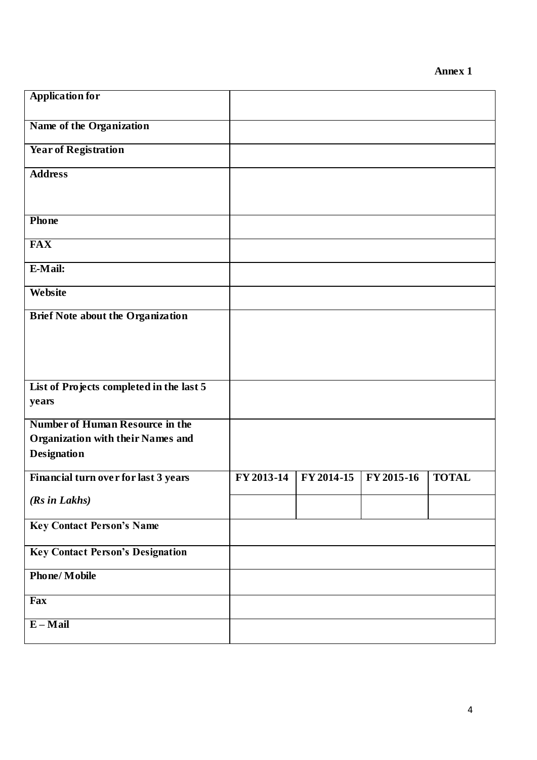| <b>Application for</b>                                                             |            |            |            |              |
|------------------------------------------------------------------------------------|------------|------------|------------|--------------|
| Name of the Organization                                                           |            |            |            |              |
| <b>Year of Registration</b>                                                        |            |            |            |              |
| <b>Address</b>                                                                     |            |            |            |              |
|                                                                                    |            |            |            |              |
| Phone                                                                              |            |            |            |              |
| <b>FAX</b>                                                                         |            |            |            |              |
| E-Mail:                                                                            |            |            |            |              |
| Website                                                                            |            |            |            |              |
| <b>Brief Note about the Organization</b>                                           |            |            |            |              |
|                                                                                    |            |            |            |              |
|                                                                                    |            |            |            |              |
| List of Projects completed in the last 5<br>years                                  |            |            |            |              |
| <b>Number of Human Resource in the</b><br><b>Organization with their Names and</b> |            |            |            |              |
| <b>Designation</b>                                                                 |            |            |            |              |
| Financial turn over for last 3 years                                               | FY 2013-14 | FY 2014-15 | FY 2015-16 | <b>TOTAL</b> |
| (Rs in Lakhs)                                                                      |            |            |            |              |
| <b>Key Contact Person's Name</b>                                                   |            |            |            |              |
| <b>Key Contact Person's Designation</b>                                            |            |            |            |              |
| <b>Phone/Mobile</b>                                                                |            |            |            |              |
| Fax                                                                                |            |            |            |              |
| $E-Mail$                                                                           |            |            |            |              |